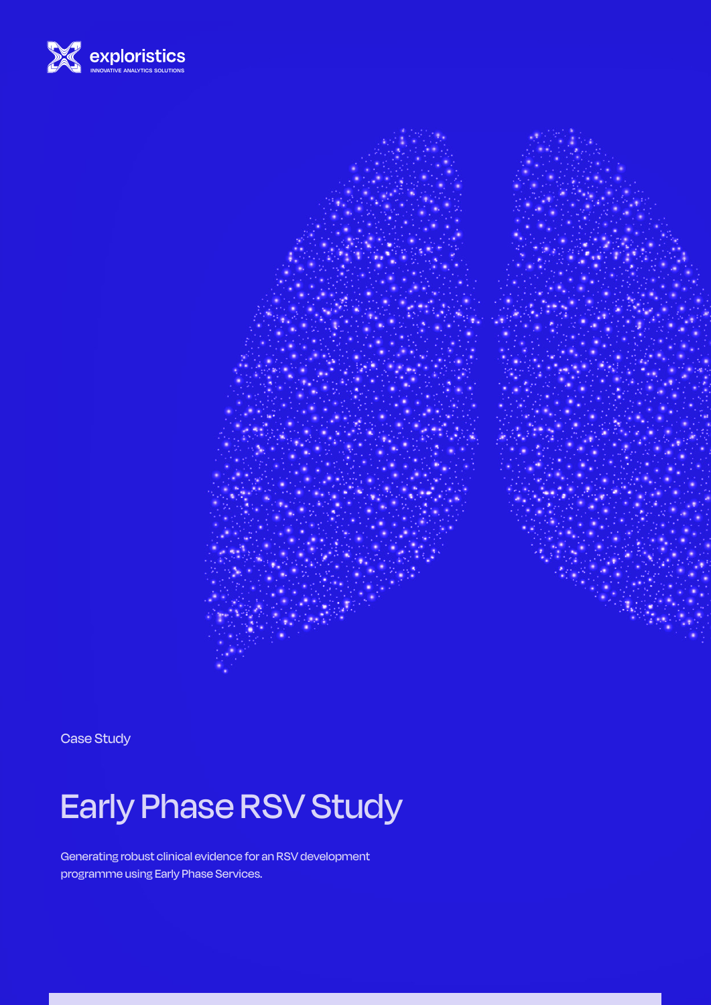



Case Study

# Early Phase RSV Study

Generating robust clinical evidence for an RSV development programme using Early Phase Services.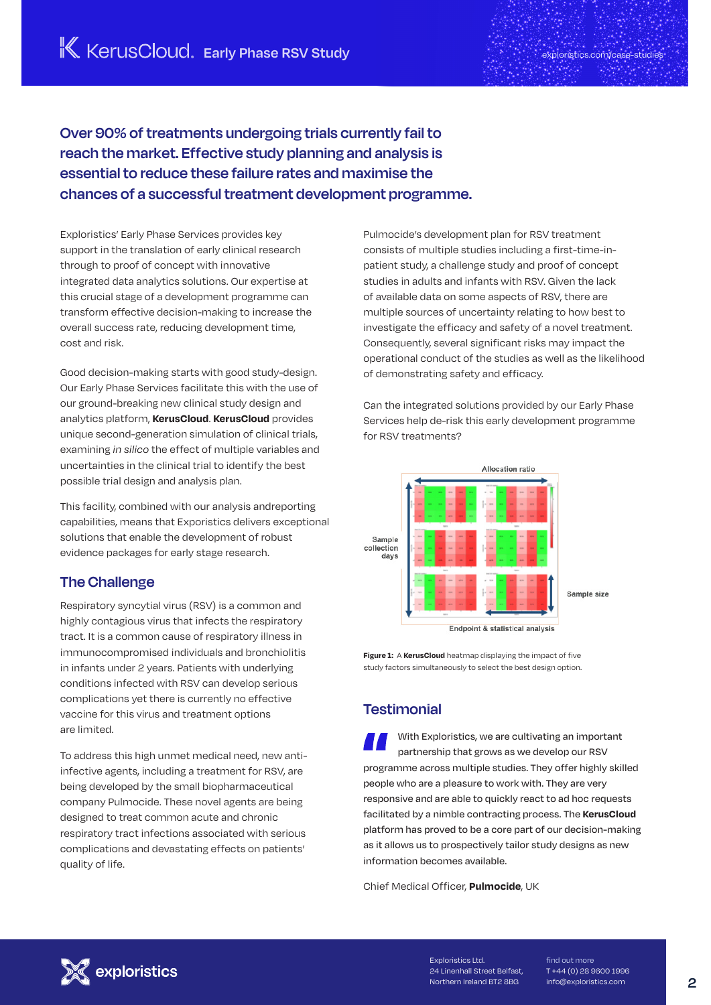**Over 90% of treatments undergoing trials currently fail to reach the market. Effective study planning and analysis is essential to reduce these failure rates and maximise the chances of a successful treatment development programme.**

Exploristics' Early Phase Services provides key support in the translation of early clinical research through to proof of concept with innovative integrated data analytics solutions. Our expertise at this crucial stage of a development programme can transform effective decision-making to increase the overall success rate, reducing development time, cost and risk.

Good decision-making starts with good study-design. Our Early Phase Services facilitate this with the use of our ground-breaking new clinical study design and analytics platform, **KerusCloud**. **KerusCloud** provides unique second-generation simulation of clinical trials, examining *in silico* the effect of multiple variables and uncertainties in the clinical trial to identify the best possible trial design and analysis plan.

This facility, combined with our analysis andreporting capabilities, means that Exporistics delivers exceptional solutions that enable the development of robust evidence packages for early stage research.

### **The Challenge**

Respiratory syncytial virus (RSV) is a common and highly contagious virus that infects the respiratory tract. It is a common cause of respiratory illness in immunocompromised individuals and bronchiolitis in infants under 2 years. Patients with underlying conditions infected with RSV can develop serious complications yet there is currently no effective vaccine for this virus and treatment options are limited.

To address this high unmet medical need, new antiinfective agents, including a treatment for RSV, are being developed by the small biopharmaceutical company Pulmocide. These novel agents are being designed to treat common acute and chronic respiratory tract infections associated with serious complications and devastating effects on patients' quality of life.

Pulmocide's development plan for RSV treatment consists of multiple studies including a first-time-inpatient study, a challenge study and proof of concept studies in adults and infants with RSV. Given the lack of available data on some aspects of RSV, there are multiple sources of uncertainty relating to how best to investigate the efficacy and safety of a novel treatment. Consequently, several significant risks may impact the operational conduct of the studies as well as the likelihood of demonstrating safety and efficacy.

Can the integrated solutions provided by our Early Phase Services help de-risk this early development programme for RSV treatments?



**Figure 1:** A **KerusCloud** heatmap displaying the impact of five study factors simultaneously to select the best design option.

### **Testimonial**

With Exploristics, we are cultivating an important partnership that grows as we develop our RSV programme across multiple studies. They offer highly skilled people who are a pleasure to work with. They are very responsive and are able to quickly react to ad hoc requests facilitated by a nimble contracting process. The **KerusCloud** platform has proved to be a core part of our decision-making as it allows us to prospectively tailor study designs as new information becomes available.

Chief Medical Officer, **Pulmocide**, UK



Exploristics Ltd. 24 Linenhall Street Belfast, Northern Ireland BT2 8BG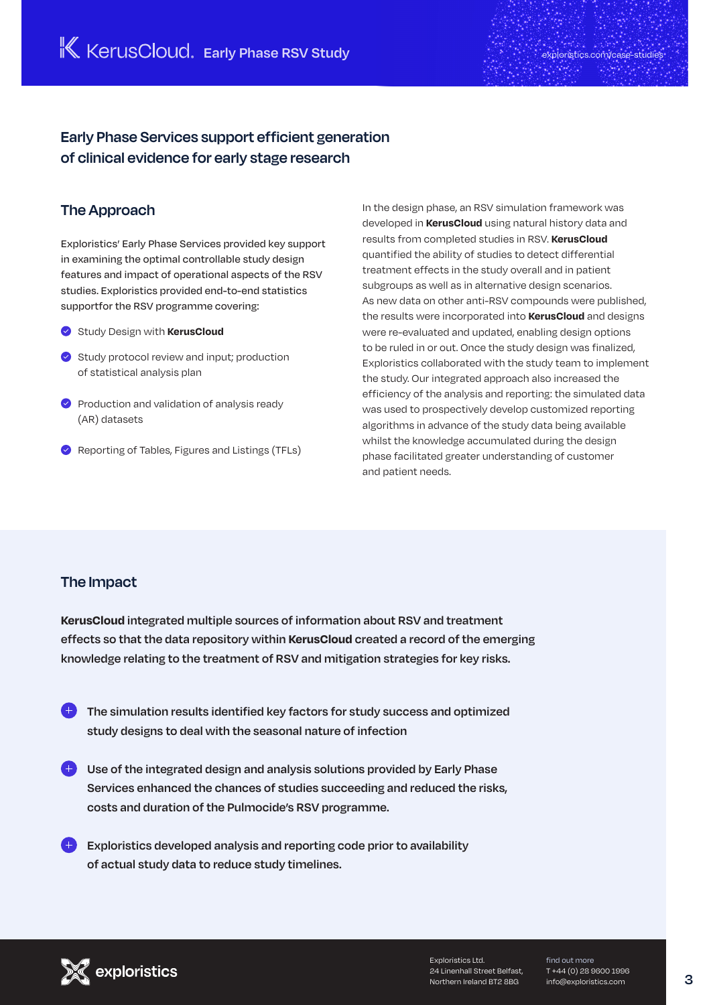## **Early Phase Services support efficient generation of clinical evidence for early stage research**

### **The Approach**

Exploristics' Early Phase Services provided key support in examining the optimal controllable study design features and impact of operational aspects of the RSV studies. Exploristics provided end-to-end statistics supportfor the RSV programme covering:

- Study Design with **KerusCloud**
- $\bullet$  Study protocol review and input; production of statistical analysis plan
- $\bullet$  Production and validation of analysis ready (AR) datasets
- Reporting of Tables, Figures and Listings (TFLs)

In the design phase, an RSV simulation framework was developed in **KerusCloud** using natural history data and results from completed studies in RSV. **KerusCloud** quantified the ability of studies to detect differential treatment effects in the study overall and in patient subgroups as well as in alternative design scenarios. As new data on other anti-RSV compounds were published, the results were incorporated into **KerusCloud** and designs were re-evaluated and updated, enabling design options to be ruled in or out. Once the study design was finalized, Exploristics collaborated with the study team to implement the study. Our integrated approach also increased the efficiency of the analysis and reporting: the simulated data was used to prospectively develop customized reporting algorithms in advance of the study data being available whilst the knowledge accumulated during the design phase facilitated greater understanding of customer and patient needs.

### **The Impact**

**KerusCloud integrated multiple sources of information about RSV and treatment effects so that the data repository within KerusCloud created a record of the emerging knowledge relating to the treatment of RSV and mitigation strategies for key risks.**

- **The simulation results identified key factors for study success and optimized study designs to deal with the seasonal nature of infection**
- **Use of the integrated design and analysis solutions provided by Early Phase Services enhanced the chances of studies succeeding and reduced the risks, costs and duration of the Pulmocide's RSV programme.**
- **Exploristics developed analysis and reporting code prior to availability of actual study data to reduce study timelines.**



Exploristics Ltd. 24 Linenhall Street Belfast, Northern Ireland BT2 8BG